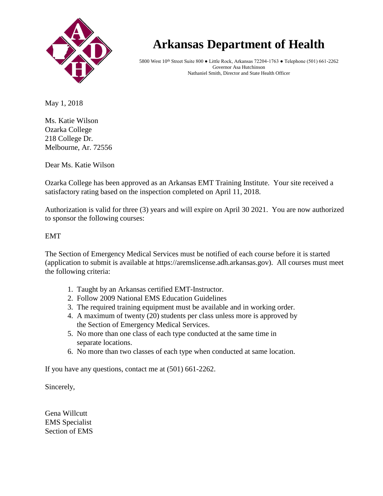

## **Arkansas Department of Health Arkansas Department of Health**

5800 West 10th Street Suite 800 ● Little Rock, Arkansas 72204-1763 ● Telephone (501) 661-2262 5800 West 10th Street Suite 800 ● Little Rock, Arkansas 72204-1763 ● Telephone (501) 661-2262 **Governor Mike Beebe** Governor Asa Hutchinson **Paul K. Halverson, <b>Paul FRACHIFICER Paul K. And State Health Officer** 

May 1, 2018

Ms. Katie Wilson Ozarka College 218 College Dr. Melbourne, Ar. 72556

Dear Ms. Katie Wilson

Ozarka College has been approved as an Arkansas EMT Training Institute. Your site received a satisfactory rating based on the inspection completed on April 11, 2018.

Authorization is valid for three (3) years and will expire on April 30 2021. You are now authorized to sponsor the following courses:

EMT

The Section of Emergency Medical Services must be notified of each course before it is started (application to submit is available at https://aremslicense.adh.arkansas.gov). All courses must meet the following criteria:

- 1. Taught by an Arkansas certified EMT-Instructor.
- 2. Follow 2009 National EMS Education Guidelines
- 3. The required training equipment must be available and in working order.
- 4. A maximum of twenty (20) students per class unless more is approved by the Section of Emergency Medical Services.
- 5. No more than one class of each type conducted at the same time in separate locations.
- 6. No more than two classes of each type when conducted at same location.

If you have any questions, contact me at (501) 661-2262.

Sincerely,

Gena Willcutt EMS Specialist Section of EMS